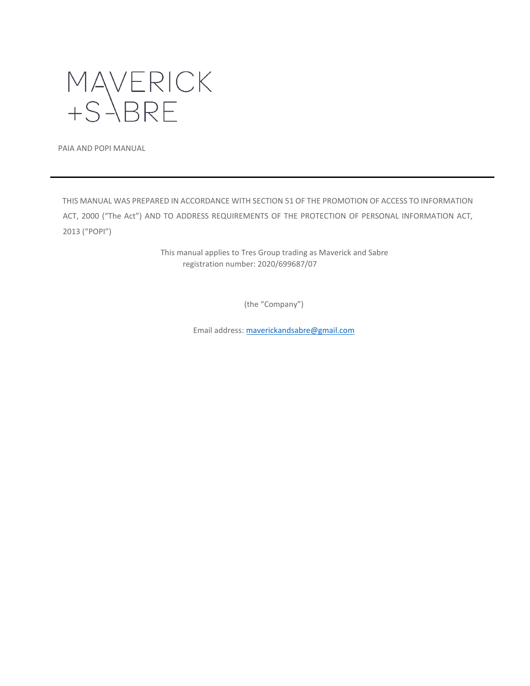

PAIA AND POPI MANUAL

THIS MANUAL WAS PREPARED IN ACCORDANCE WITH SECTION 51 OF THE PROMOTION OF ACCESS TO INFORMATION ACT, 2000 ("The Act") AND TO ADDRESS REQUIREMENTS OF THE PROTECTION OF PERSONAL INFORMATION ACT, 2013 ("POPI")

> This manual applies to Tres Group trading as Maverick and Sabre registration number: 2020/699687/07

> > (the "Company")

Email address[: maverickandsabre@gmail.com](mailto:maverickandsabre@gmail.com)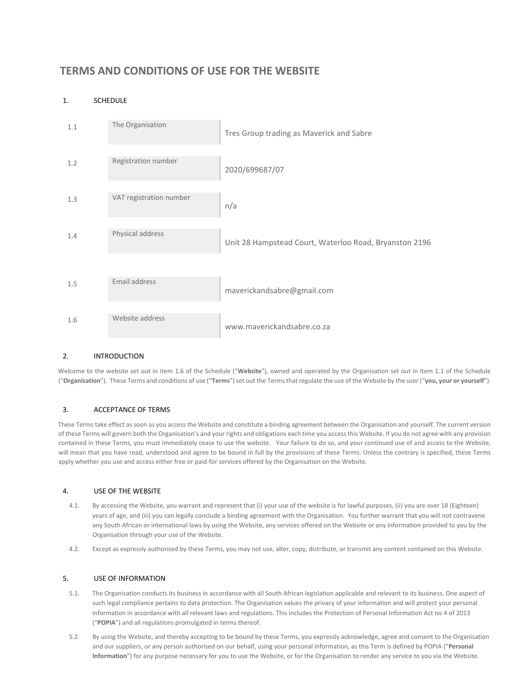# **TERMS AND CONDITIONS OF USE FOR THE WEBSITE**

# 1. SCHEDULE



# 2. INTRODUCTION

Welcome to the website set out in item 1.6 of the Schedule ("**Website**"), owned and operated by the Organisation set out in item 1.1 of the Schedule ("**Organisation**"). These Terms and conditions of use ("**Terms**") set out the Terms that regulate the use of the Website by the user ("**you, your or yourself**").

# 3. ACCEPTANCE OF TERMS

These Terms take effect as soon as you access the Website and constitute a binding agreement between the Organisation and yourself. The current version of these Terms will govern both the Organisation's and your rights and obligations each time you access this Website. If you do not agree with any provision contained in these Terms, you must immediately cease to use the website. Your failure to do so, and your continued use of and access to the Website, will mean that you have read, understood and agree to be bound in full by the provisions of these Terms. Unless the contrary is specified, these Terms apply whether you use and access either free or paid-for services offered by the Organisation on the Website.

# 4. USE OF THE WEBSITE

- 4.1. By accessing the Website, you warrant and represent that (i) your use of the website is for lawful purposes, (ii) you are over 18 (Eighteen) years of age, and (iii) you can legally conclude a binding agreement with the Organisation. You further warrant that you will not contravene any South African or international laws by using the Website, any services offered on the Website or any information provided to you by the Organisation through your use of the Website.
- 4.2. Except as expressly authorised by these Terms, you may not use, alter, copy, distribute, or transmit any content contained on this Website.

#### 5. USE OF INFORMATION

- 5.1. The Organisation conducts its business in accordance with all South African legislation applicable and relevant to its business. One aspect of such legal compliance pertains to data protection. The Organisation values the privacy of your information and will protect your personal information in accordance with all relevant laws and regulations. This includes the Protection of Personal Information Act no 4 of 2013 ("**POPIA**") and all regulations promulgated in terms thereof.
- 5.2. By using the Website, and thereby accepting to be bound by these Terms, you expressly acknowledge, agree and consent to the Organisation and our suppliers, or any person authorised on our behalf, using your personal information, as this Term is defined by POPIA ("**Personal Information**") for any purpose necessary for you to use the Website, or for the Organisation to render any service to you via the Website.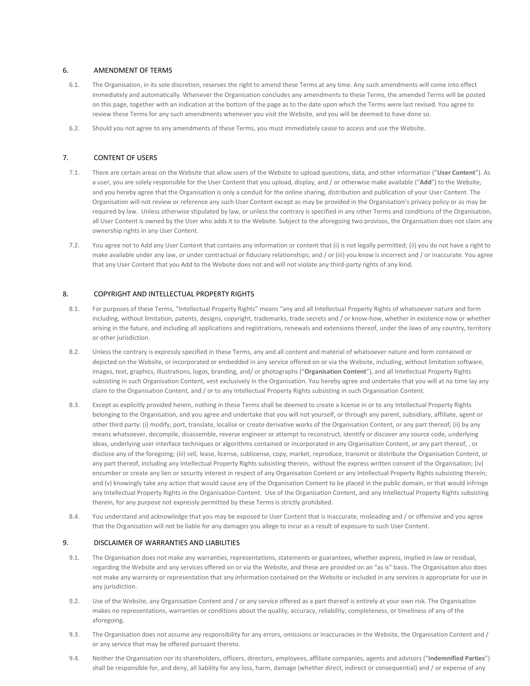#### 6. AMENDMENT OF TERMS

- 6.1. The Organisation, in its sole discretion, reserves the right to amend these Terms at any time. Any such amendments will come into effect immediately and automatically. Whenever the Organisation concludes any amendments to these Terms, the amended Terms will be posted on this page, together with an indication at the bottom of the page as to the date upon which the Terms were last revised. You agree to review these Terms for any such amendments whenever you visit the Website, and you will be deemed to have done so.
- 6.2. Should you not agree to any amendments of these Terms, you must immediately cease to access and use the Website.

### 7. CONTENT OF USERS

- 7.1. There are certain areas on the Website that allow users of the Website to upload questions, data, and other information ("**User Content**"). As a user, you are solely responsible for the User Content that you upload, display, and / or otherwise make available ("**Add**") to the Website, and you hereby agree that the Organisation is only a conduit for the online sharing, distribution and publication of your User Content. The Organisation will not review or reference any such User Content except as may be provided in the Organisation's privacy policy or as may be required by law. Unless otherwise stipulated by law, or unless the contrary is specified in any other Terms and conditions of the Organisation, all User Content is owned by the User who adds it to the Website. Subject to the aforegoing two provisos, the Organisation does not claim any ownership rights in any User Content.
- 7.2. You agree not to Add any User Content that contains any information or content that (i) is not legally permitted; (ii) you do not have a right to make available under any law, or under contractual or fiduciary relationships; and / or (iii) you know is incorrect and / or inaccurate. You agree that any User Content that you Add to the Website does not and will not violate any third-party rights of any kind.

#### 8. COPYRIGHT AND INTELLECTUAL PROPERTY RIGHTS

- 8.1. For purposes of these Terms, "Intellectual Property Rights" means "any and all Intellectual Property Rights of whatsoever nature and form including, without limitation, patents, designs, copyright, trademarks, trade secrets and / or know-how, whether in existence now or whether arising in the future, and including all applications and registrations, renewals and extensions thereof, under the laws of any country, territory or other jurisdiction.
- 8.2. Unless the contrary is expressly specified in these Terms, any and all content and material of whatsoever nature and form contained or depicted on the Website, or incorporated or embedded in any service offered on or via the Website, including, without limitation software, images, text, graphics, illustrations, logos, branding, and/ or photographs ("**Organisation Content**"), and all Intellectual Property Rights subsisting in such Organisation Content, vest exclusively in the Organisation. You hereby agree and undertake that you will at no time lay any claim to the Organisation Content, and / or to any Intellectual Property Rights subsisting in such Organisation Content.
- 8.3. Except as explicitly provided herein, nothing in these Terms shall be deemed to create a license in or to any Intellectual Property Rights belonging to the Organisation, and you agree and undertake that you will not yourself, or through any parent, subsidiary, affiliate, agent or other third party: (i) modify, port, translate, localise or create derivative works of the Organisation Content, or any part thereof; (ii) by any means whatsoever, decompile, disassemble, reverse engineer or attempt to reconstruct, identify or discover any source code, underlying ideas, underlying user interface techniques or algorithms contained or incorporated in any Organisation Content, or any part thereof, , or disclose any of the foregoing; (iii) sell, lease, license, sublicense, copy, market, reproduce, transmit or distribute the Organisation Content, or any part thereof, including any Intellectual Property Rights subsisting therein, without the express written consent of the Organisation; (iv) encumber or create any lien or security interest in respect of any Organisation Content or any Intellectual Property Rights subsisting therein; and (v) knowingly take any action that would cause any of the Organisation Content to be placed in the public domain, or that would infringe any Intellectual Property Rights in the Organisation Content. Use of the Organisation Content, and any Intellectual Property Rights subsisting therein, for any purpose not expressly permitted by these Terms is strictly prohibited.
- 8.4. You understand and acknowledge that you may be exposed to User Content that is inaccurate, misleading and / or offensive and you agree that the Organisation will not be liable for any damages you allege to incur as a result of exposure to such User Content.

# 9. DISCLAIMER OF WARRANTIES AND LIABILITIES

- 9.1. The Organisation does not make any warranties, representations, statements or guarantees, whether express, implied in law or residual, regarding the Website and any services offered on or via the Website, and these are provided on an "as is" basis. The Organisation also does not make any warranty or representation that any information contained on the Website or included in any services is appropriate for use in any jurisdiction.
- 9.2. Use of the Website, any Organisation Content and / or any service offered as a part thereof is entirely at your own risk. The Organisation makes no representations, warranties or conditions about the quality, accuracy, reliability, completeness, or timeliness of any of the aforegoing.
- 9.3. The Organisation does not assume any responsibility for any errors, omissions or inaccuracies in the Website, the Organisation Content and / or any service that may be offered pursuant thereto.
- 9.4. Neither the Organisation nor its shareholders, officers, directors, employees, affiliate companies, agents and advisors ("**Indemnified Parties**") shall be responsible for, and deny, all liability for any loss, harm, damage (whether direct, indirect or consequential) and / or expense of any